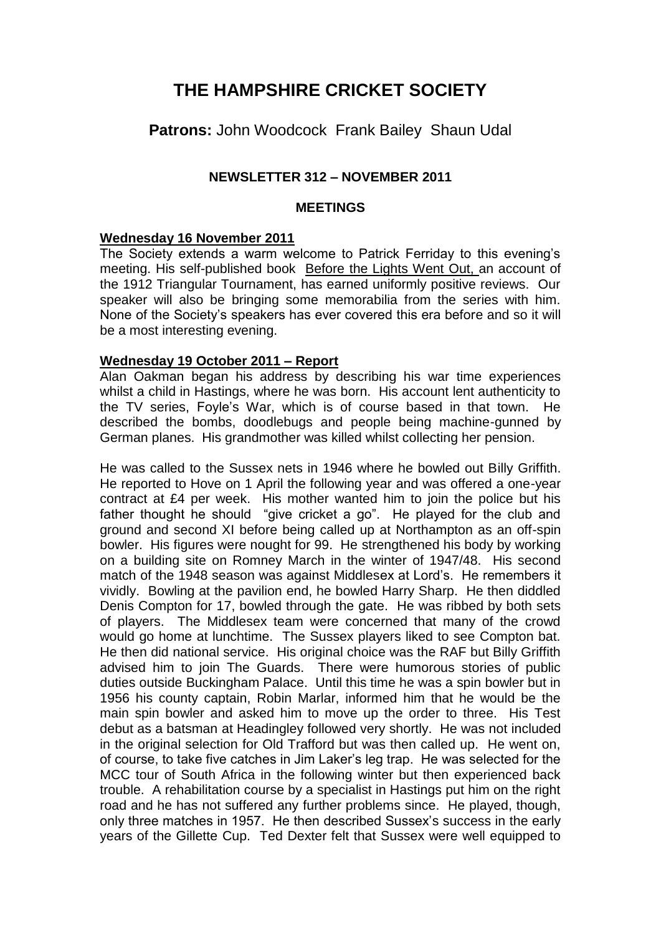# **THE HAMPSHIRE CRICKET SOCIETY**

**Patrons:** John Woodcock Frank Bailey Shaun Udal

# **NEWSLETTER 312 – NOVEMBER 2011**

### **MEETINGS**

## **Wednesday 16 November 2011**

The Society extends a warm welcome to Patrick Ferriday to this evening's meeting. His self-published book Before the Lights Went Out, an account of the 1912 Triangular Tournament, has earned uniformly positive reviews. Our speaker will also be bringing some memorabilia from the series with him. None of the Society's speakers has ever covered this era before and so it will be a most interesting evening.

### **Wednesday 19 October 2011 – Report**

Alan Oakman began his address by describing his war time experiences whilst a child in Hastings, where he was born. His account lent authenticity to the TV series, Foyle's War, which is of course based in that town. He described the bombs, doodlebugs and people being machine-gunned by German planes. His grandmother was killed whilst collecting her pension.

He was called to the Sussex nets in 1946 where he bowled out Billy Griffith. He reported to Hove on 1 April the following year and was offered a one-year contract at £4 per week. His mother wanted him to join the police but his father thought he should "give cricket a go". He played for the club and ground and second XI before being called up at Northampton as an off-spin bowler. His figures were nought for 99. He strengthened his body by working on a building site on Romney March in the winter of 1947/48. His second match of the 1948 season was against Middlesex at Lord's. He remembers it vividly. Bowling at the pavilion end, he bowled Harry Sharp. He then diddled Denis Compton for 17, bowled through the gate. He was ribbed by both sets of players. The Middlesex team were concerned that many of the crowd would go home at lunchtime. The Sussex players liked to see Compton bat. He then did national service. His original choice was the RAF but Billy Griffith advised him to join The Guards. There were humorous stories of public duties outside Buckingham Palace. Until this time he was a spin bowler but in 1956 his county captain, Robin Marlar, informed him that he would be the main spin bowler and asked him to move up the order to three. His Test debut as a batsman at Headingley followed very shortly. He was not included in the original selection for Old Trafford but was then called up. He went on, of course, to take five catches in Jim Laker's leg trap. He was selected for the MCC tour of South Africa in the following winter but then experienced back trouble. A rehabilitation course by a specialist in Hastings put him on the right road and he has not suffered any further problems since. He played, though, only three matches in 1957. He then described Sussex's success in the early years of the Gillette Cup. Ted Dexter felt that Sussex were well equipped to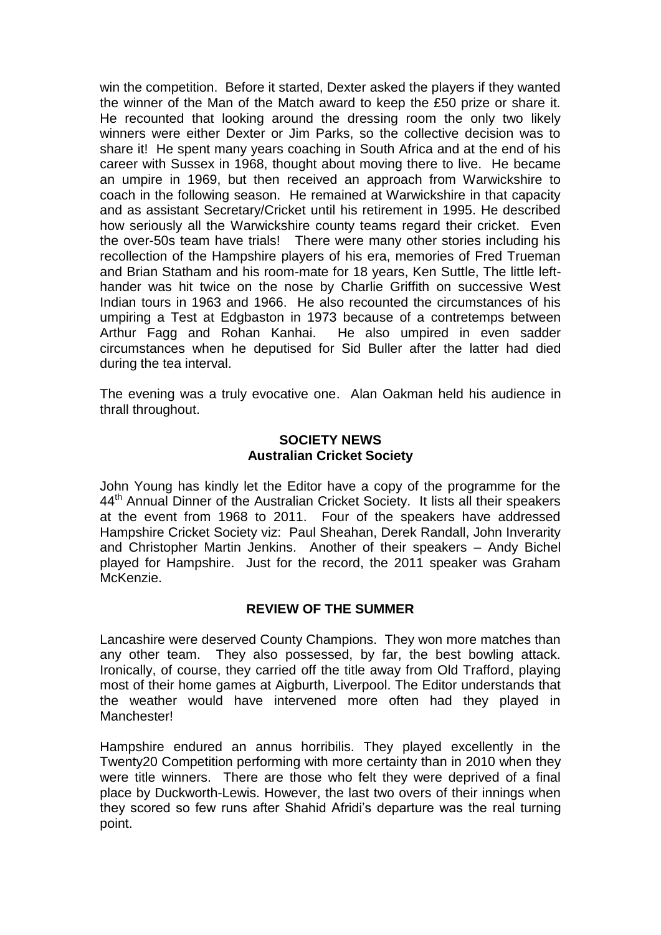win the competition. Before it started, Dexter asked the players if they wanted the winner of the Man of the Match award to keep the £50 prize or share it. He recounted that looking around the dressing room the only two likely winners were either Dexter or Jim Parks, so the collective decision was to share it! He spent many years coaching in South Africa and at the end of his career with Sussex in 1968, thought about moving there to live. He became an umpire in 1969, but then received an approach from Warwickshire to coach in the following season. He remained at Warwickshire in that capacity and as assistant Secretary/Cricket until his retirement in 1995. He described how seriously all the Warwickshire county teams regard their cricket. Even the over-50s team have trials! There were many other stories including his recollection of the Hampshire players of his era, memories of Fred Trueman and Brian Statham and his room-mate for 18 years, Ken Suttle, The little lefthander was hit twice on the nose by Charlie Griffith on successive West Indian tours in 1963 and 1966. He also recounted the circumstances of his umpiring a Test at Edgbaston in 1973 because of a contretemps between Arthur Fagg and Rohan Kanhai. He also umpired in even sadder circumstances when he deputised for Sid Buller after the latter had died during the tea interval.

The evening was a truly evocative one. Alan Oakman held his audience in thrall throughout.

## **SOCIETY NEWS Australian Cricket Society**

John Young has kindly let the Editor have a copy of the programme for the 44<sup>th</sup> Annual Dinner of the Australian Cricket Society. It lists all their speakers at the event from 1968 to 2011. Four of the speakers have addressed Hampshire Cricket Society viz: Paul Sheahan, Derek Randall, John Inverarity and Christopher Martin Jenkins. Another of their speakers – Andy Bichel played for Hampshire. Just for the record, the 2011 speaker was Graham McKenzie.

### **REVIEW OF THE SUMMER**

Lancashire were deserved County Champions. They won more matches than any other team. They also possessed, by far, the best bowling attack. Ironically, of course, they carried off the title away from Old Trafford, playing most of their home games at Aigburth, Liverpool. The Editor understands that the weather would have intervened more often had they played in Manchester!

Hampshire endured an annus horribilis. They played excellently in the Twenty20 Competition performing with more certainty than in 2010 when they were title winners. There are those who felt they were deprived of a final place by Duckworth-Lewis. However, the last two overs of their innings when they scored so few runs after Shahid Afridi's departure was the real turning point.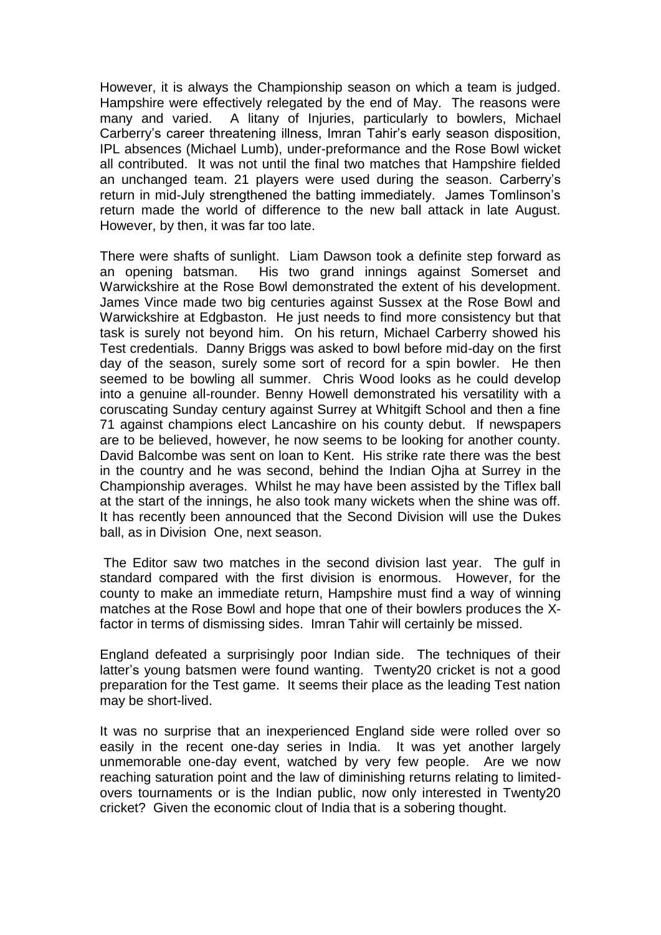However, it is always the Championship season on which a team is judged. Hampshire were effectively relegated by the end of May. The reasons were many and varied. A litany of Injuries, particularly to bowlers, Michael Carberry's career threatening illness, Imran Tahir's early season disposition, IPL absences (Michael Lumb), under-preformance and the Rose Bowl wicket all contributed. It was not until the final two matches that Hampshire fielded an unchanged team. 21 players were used during the season. Carberry's return in mid-July strengthened the batting immediately. James Tomlinson's return made the world of difference to the new ball attack in late August. However, by then, it was far too late.

There were shafts of sunlight. Liam Dawson took a definite step forward as an opening batsman. His two grand innings against Somerset and Warwickshire at the Rose Bowl demonstrated the extent of his development. James Vince made two big centuries against Sussex at the Rose Bowl and Warwickshire at Edgbaston. He just needs to find more consistency but that task is surely not beyond him. On his return, Michael Carberry showed his Test credentials. Danny Briggs was asked to bowl before mid-day on the first day of the season, surely some sort of record for a spin bowler. He then seemed to be bowling all summer. Chris Wood looks as he could develop into a genuine all-rounder. Benny Howell demonstrated his versatility with a coruscating Sunday century against Surrey at Whitgift School and then a fine 71 against champions elect Lancashire on his county debut. If newspapers are to be believed, however, he now seems to be looking for another county. David Balcombe was sent on loan to Kent. His strike rate there was the best in the country and he was second, behind the Indian Ojha at Surrey in the Championship averages. Whilst he may have been assisted by the Tiflex ball at the start of the innings, he also took many wickets when the shine was off. It has recently been announced that the Second Division will use the Dukes ball, as in Division One, next season.

The Editor saw two matches in the second division last year. The gulf in standard compared with the first division is enormous. However, for the county to make an immediate return, Hampshire must find a way of winning matches at the Rose Bowl and hope that one of their bowlers produces the Xfactor in terms of dismissing sides. Imran Tahir will certainly be missed.

England defeated a surprisingly poor Indian side. The techniques of their latter's young batsmen were found wanting. Twenty20 cricket is not a good preparation for the Test game. It seems their place as the leading Test nation may be short-lived.

It was no surprise that an inexperienced England side were rolled over so easily in the recent one-day series in India. It was yet another largely unmemorable one-day event, watched by very few people. Are we now reaching saturation point and the law of diminishing returns relating to limitedovers tournaments or is the Indian public, now only interested in Twenty20 cricket? Given the economic clout of India that is a sobering thought.